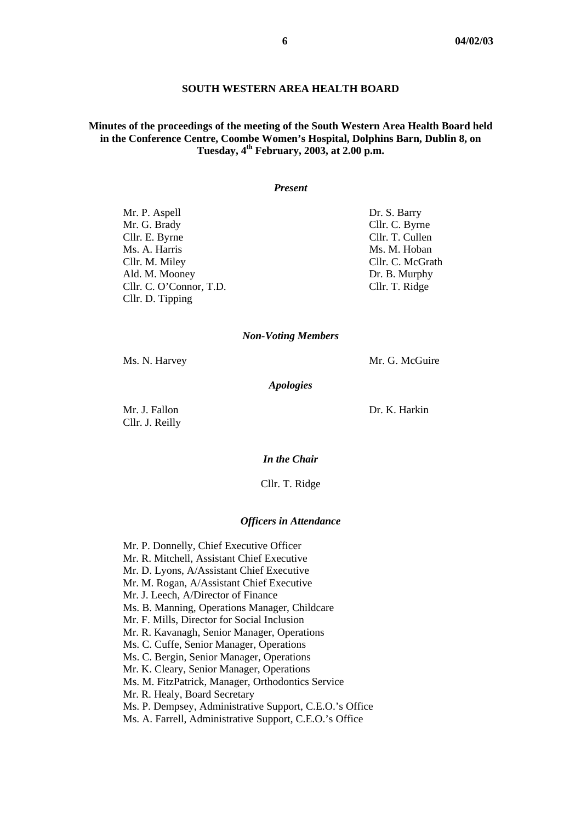#### **SOUTH WESTERN AREA HEALTH BOARD**

## **Minutes of the proceedings of the meeting of the South Western Area Health Board held in the Conference Centre, Coombe Women's Hospital, Dolphins Barn, Dublin 8, on Tuesday, 4th February, 2003, at 2.00 p.m.**

#### *Present*

Mr. P. Aspell Dr. S. Barry Mr. G. Brady Cllr. C. Byrne Cllr. E. Byrne Cllr. T. Cullen Ms. A. Harris Ms. M. Hoban Cllr. M. Miley Cllr. C. McGrath Ald. M. Mooney Dr. B. Murphy Cllr. C. O'Connor, T.D. Cllr. T. Ridge Cllr. D. Tipping

#### *Non-Voting Members*

Ms. N. Harvey Mr. G. McGuire

*Apologies* 

Cllr. J. Reilly

Mr. J. Fallon Dr. K. Harkin

#### *In the Chair*

Cllr. T. Ridge

#### *Officers in Attendance*

Mr. P. Donnelly, Chief Executive Officer

- Mr. R. Mitchell, Assistant Chief Executive
- Mr. D. Lyons, A/Assistant Chief Executive
- Mr. M. Rogan, A/Assistant Chief Executive
- Mr. J. Leech, A/Director of Finance
- Ms. B. Manning, Operations Manager, Childcare
- Mr. F. Mills, Director for Social Inclusion
- Mr. R. Kavanagh, Senior Manager, Operations
- Ms. C. Cuffe, Senior Manager, Operations
- Ms. C. Bergin, Senior Manager, Operations
- Mr. K. Cleary, Senior Manager, Operations
- Ms. M. FitzPatrick, Manager, Orthodontics Service
- Mr. R. Healy, Board Secretary
- Ms. P. Dempsey, Administrative Support, C.E.O.'s Office
- Ms. A. Farrell, Administrative Support, C.E.O.'s Office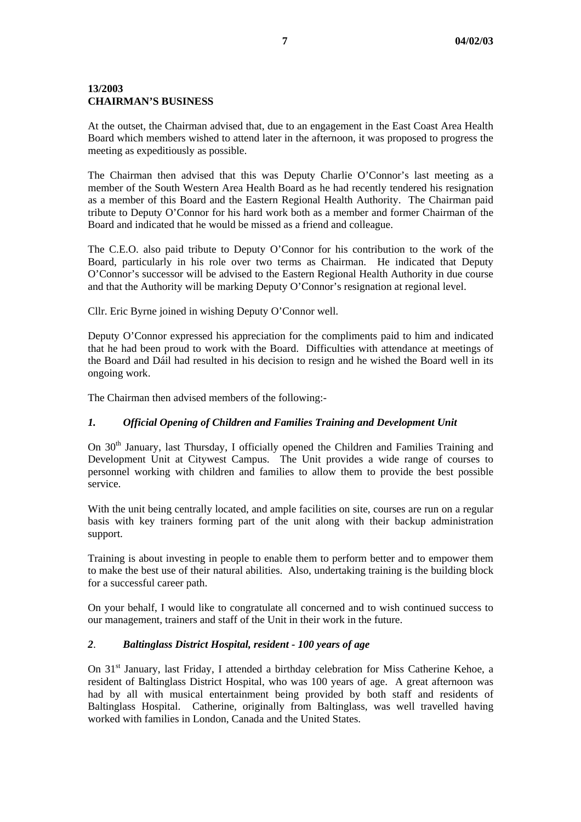### **13/2003 CHAIRMAN'S BUSINESS**

At the outset, the Chairman advised that, due to an engagement in the East Coast Area Health Board which members wished to attend later in the afternoon, it was proposed to progress the meeting as expeditiously as possible.

The Chairman then advised that this was Deputy Charlie O'Connor's last meeting as a member of the South Western Area Health Board as he had recently tendered his resignation as a member of this Board and the Eastern Regional Health Authority. The Chairman paid tribute to Deputy O'Connor for his hard work both as a member and former Chairman of the Board and indicated that he would be missed as a friend and colleague.

The C.E.O. also paid tribute to Deputy O'Connor for his contribution to the work of the Board, particularly in his role over two terms as Chairman. He indicated that Deputy O'Connor's successor will be advised to the Eastern Regional Health Authority in due course and that the Authority will be marking Deputy O'Connor's resignation at regional level.

Cllr. Eric Byrne joined in wishing Deputy O'Connor well.

Deputy O'Connor expressed his appreciation for the compliments paid to him and indicated that he had been proud to work with the Board. Difficulties with attendance at meetings of the Board and Dáil had resulted in his decision to resign and he wished the Board well in its ongoing work.

The Chairman then advised members of the following:-

## *1. Official Opening of Children and Families Training and Development Unit*

On 30<sup>th</sup> January, last Thursday, I officially opened the Children and Families Training and Development Unit at Citywest Campus. The Unit provides a wide range of courses to personnel working with children and families to allow them to provide the best possible service.

With the unit being centrally located, and ample facilities on site, courses are run on a regular basis with key trainers forming part of the unit along with their backup administration support.

Training is about investing in people to enable them to perform better and to empower them to make the best use of their natural abilities. Also, undertaking training is the building block for a successful career path.

On your behalf, I would like to congratulate all concerned and to wish continued success to our management, trainers and staff of the Unit in their work in the future.

## *2*. *Baltinglass District Hospital, resident - 100 years of age*

On 31<sup>st</sup> January, last Friday, I attended a birthday celebration for Miss Catherine Kehoe, a resident of Baltinglass District Hospital, who was 100 years of age. A great afternoon was had by all with musical entertainment being provided by both staff and residents of Baltinglass Hospital. Catherine, originally from Baltinglass, was well travelled having worked with families in London, Canada and the United States.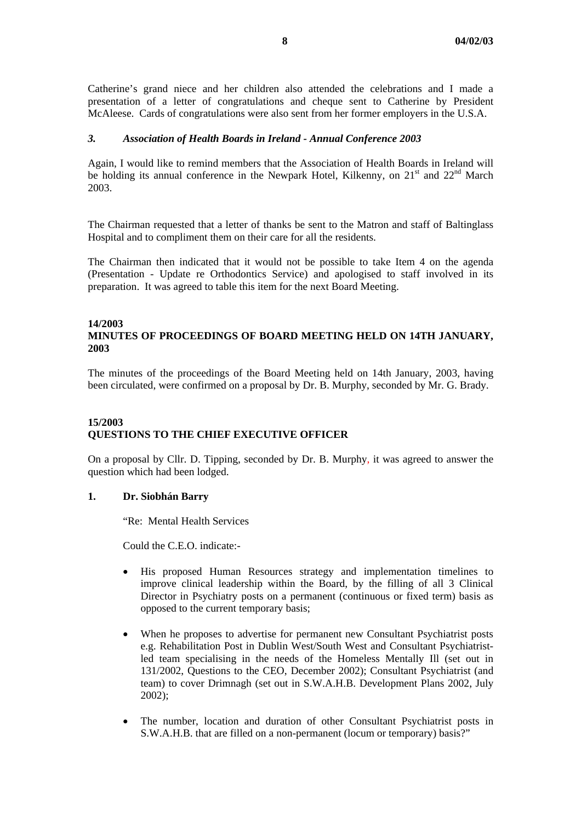Catherine's grand niece and her children also attended the celebrations and I made a presentation of a letter of congratulations and cheque sent to Catherine by President McAleese. Cards of congratulations were also sent from her former employers in the U.S.A.

### *3. Association of Health Boards in Ireland - Annual Conference 2003*

Again, I would like to remind members that the Association of Health Boards in Ireland will be holding its annual conference in the Newpark Hotel, Kilkenny, on  $21<sup>st</sup>$  and  $22<sup>nd</sup>$  March 2003.

The Chairman requested that a letter of thanks be sent to the Matron and staff of Baltinglass Hospital and to compliment them on their care for all the residents.

The Chairman then indicated that it would not be possible to take Item 4 on the agenda (Presentation - Update re Orthodontics Service) and apologised to staff involved in its preparation. It was agreed to table this item for the next Board Meeting.

# **14/2003**

# **MINUTES OF PROCEEDINGS OF BOARD MEETING HELD ON 14TH JANUARY, 2003**

The minutes of the proceedings of the Board Meeting held on 14th January, 2003, having been circulated, were confirmed on a proposal by Dr. B. Murphy, seconded by Mr. G. Brady.

## **15/2003 QUESTIONS TO THE CHIEF EXECUTIVE OFFICER**

On a proposal by Cllr. D. Tipping, seconded by Dr. B. Murphy, it was agreed to answer the question which had been lodged.

### **1. Dr. Siobhán Barry**

"Re: Mental Health Services

Could the C.E.O. indicate:-

- His proposed Human Resources strategy and implementation timelines to improve clinical leadership within the Board, by the filling of all 3 Clinical Director in Psychiatry posts on a permanent (continuous or fixed term) basis as opposed to the current temporary basis;
- When he proposes to advertise for permanent new Consultant Psychiatrist posts e.g. Rehabilitation Post in Dublin West/South West and Consultant Psychiatristled team specialising in the needs of the Homeless Mentally Ill (set out in 131/2002, Questions to the CEO, December 2002); Consultant Psychiatrist (and team) to cover Drimnagh (set out in S.W.A.H.B. Development Plans 2002, July 2002);
- The number, location and duration of other Consultant Psychiatrist posts in S.W.A.H.B. that are filled on a non-permanent (locum or temporary) basis?"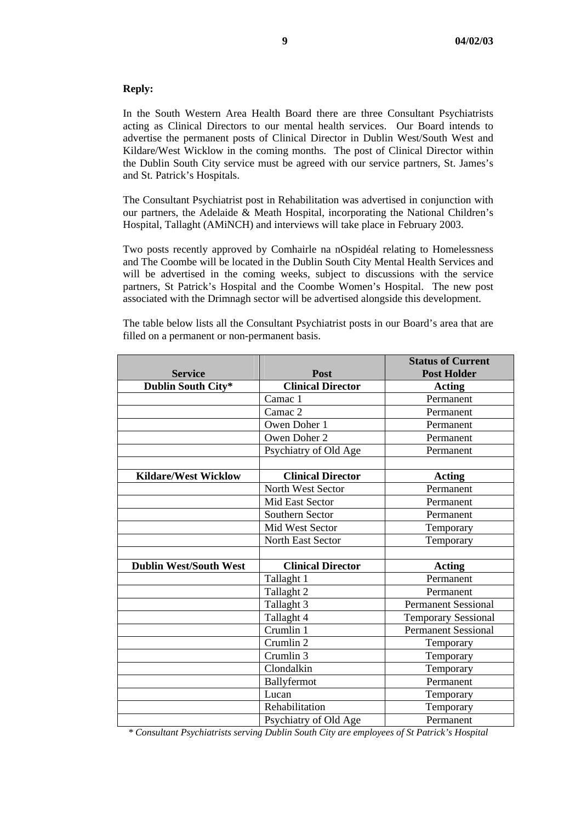### **Reply:**

In the South Western Area Health Board there are three Consultant Psychiatrists acting as Clinical Directors to our mental health services. Our Board intends to advertise the permanent posts of Clinical Director in Dublin West/South West and Kildare/West Wicklow in the coming months. The post of Clinical Director within the Dublin South City service must be agreed with our service partners, St. James's and St. Patrick's Hospitals.

The Consultant Psychiatrist post in Rehabilitation was advertised in conjunction with our partners, the Adelaide & Meath Hospital, incorporating the National Children's Hospital, Tallaght (AMiNCH) and interviews will take place in February 2003.

Two posts recently approved by Comhairle na nOspidéal relating to Homelessness and The Coombe will be located in the Dublin South City Mental Health Services and will be advertised in the coming weeks, subject to discussions with the service partners, St Patrick's Hospital and the Coombe Women's Hospital. The new post associated with the Drimnagh sector will be advertised alongside this development.

The table below lists all the Consultant Psychiatrist posts in our Board's area that are filled on a permanent or non-permanent basis.

|                               |                          | <b>Status of Current</b>   |
|-------------------------------|--------------------------|----------------------------|
| <b>Service</b>                | Post                     | <b>Post Holder</b>         |
| Dublin South City*            | <b>Clinical Director</b> | <b>Acting</b>              |
|                               | Camac 1                  | Permanent                  |
|                               | Camac 2                  | Permanent                  |
|                               | Owen Doher 1             | Permanent                  |
|                               | Owen Doher 2             | Permanent                  |
|                               | Psychiatry of Old Age    | Permanent                  |
|                               |                          |                            |
| <b>Kildare/West Wicklow</b>   | <b>Clinical Director</b> | Acting                     |
|                               | North West Sector        | Permanent                  |
|                               | Mid East Sector          | Permanent                  |
|                               | Southern Sector          | Permanent                  |
|                               | Mid West Sector          | Temporary                  |
|                               | North East Sector        | Temporary                  |
|                               |                          |                            |
| <b>Dublin West/South West</b> | <b>Clinical Director</b> | <b>Acting</b>              |
|                               | Tallaght 1               | Permanent                  |
|                               | Tallaght 2               | Permanent                  |
|                               | Tallaght 3               | <b>Permanent Sessional</b> |
|                               | Tallaght 4               | <b>Temporary Sessional</b> |
|                               | Crumlin 1                | <b>Permanent Sessional</b> |
|                               | Crumlin 2                | Temporary                  |
|                               | Crumlin 3                | Temporary                  |
|                               | Clondalkin               | Temporary                  |
|                               | Ballyfermot              | Permanent                  |
|                               | Lucan                    | Temporary                  |
|                               | Rehabilitation           | Temporary                  |
|                               | Psychiatry of Old Age    | Permanent                  |

*\* Consultant Psychiatrists serving Dublin South City are employees of St Patrick's Hospital*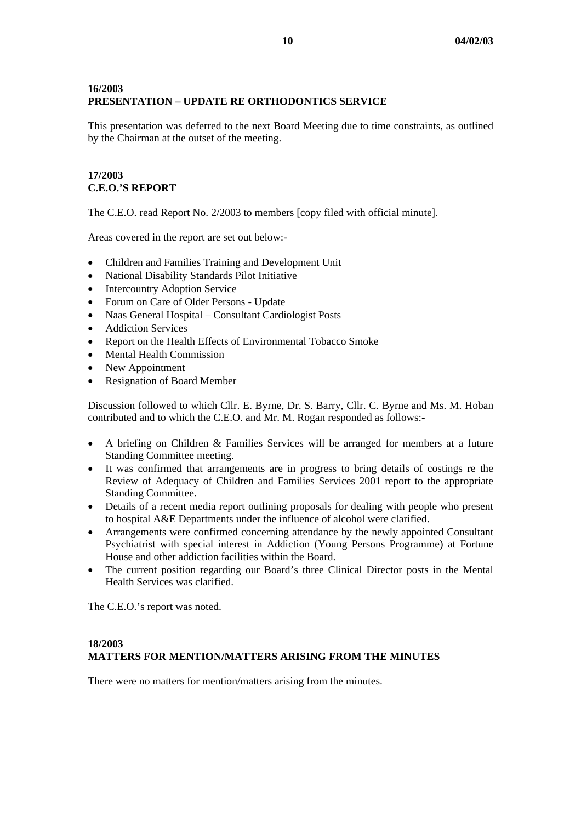# **16/2003 PRESENTATION – UPDATE RE ORTHODONTICS SERVICE**

This presentation was deferred to the next Board Meeting due to time constraints, as outlined by the Chairman at the outset of the meeting.

# **17/2003 C.E.O.'S REPORT**

The C.E.O. read Report No. 2/2003 to members [copy filed with official minute].

Areas covered in the report are set out below:-

- Children and Families Training and Development Unit
- National Disability Standards Pilot Initiative
- Intercountry Adoption Service
- Forum on Care of Older Persons Update
- Naas General Hospital Consultant Cardiologist Posts
- Addiction Services
- Report on the Health Effects of Environmental Tobacco Smoke
- Mental Health Commission
- New Appointment
- Resignation of Board Member

Discussion followed to which Cllr. E. Byrne, Dr. S. Barry, Cllr. C. Byrne and Ms. M. Hoban contributed and to which the C.E.O. and Mr. M. Rogan responded as follows:-

- A briefing on Children & Families Services will be arranged for members at a future Standing Committee meeting.
- It was confirmed that arrangements are in progress to bring details of costings re the Review of Adequacy of Children and Families Services 2001 report to the appropriate Standing Committee.
- Details of a recent media report outlining proposals for dealing with people who present to hospital A&E Departments under the influence of alcohol were clarified.
- Arrangements were confirmed concerning attendance by the newly appointed Consultant Psychiatrist with special interest in Addiction (Young Persons Programme) at Fortune House and other addiction facilities within the Board.
- The current position regarding our Board's three Clinical Director posts in the Mental Health Services was clarified.

The C.E.O.'s report was noted.

## **18/2003 MATTERS FOR MENTION/MATTERS ARISING FROM THE MINUTES**

There were no matters for mention/matters arising from the minutes.